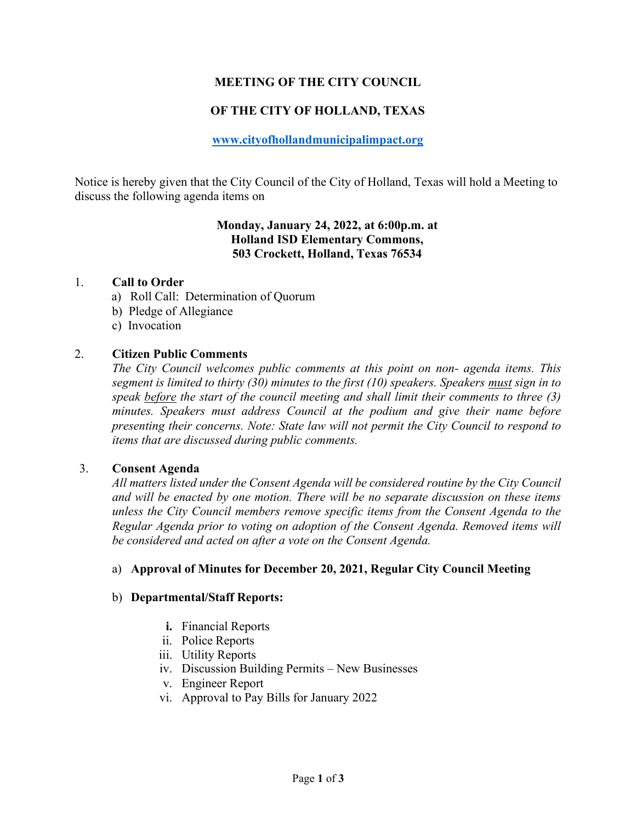# **MEETING OF THE CITY COUNCIL**

# **OF THE CITY OF HOLLAND, TEXAS**

## **[www.cityofhollandmunicipalimpact.org](http://www.cityofhollandmunicipalimpact.org/)**

Notice is hereby given that the City Council of the City of Holland, Texas will hold a Meeting to discuss the following agenda items on

# **Monday, January 24, 2022, at 6:00p.m. at Holland ISD Elementary Commons, 503 Crockett, Holland, Texas 76534**

#### 1. **Call to Order**

- a) Roll Call: Determination of Quorum
- b) Pledge of Allegiance
- c) Invocation

## 2. **Citizen Public Comments**

*The City Council welcomes public comments at this point on non- agenda items. This segment is limited to thirty (30) minutes to the first (10) speakers. Speakers must sign in to speak before the start of the council meeting and shall limit their comments to three (3) minutes. Speakers must address Council at the podium and give their name before presenting their concerns. Note: State law will not permit the City Council to respond to items that are discussed during public comments.*

### 3. **Consent Agenda**

*All matters listed under the Consent Agenda will be considered routine by the City Council and will be enacted by one motion. There will be no separate discussion on these items unless the City Council members remove specific items from the Consent Agenda to the Regular Agenda prior to voting on adoption of the Consent Agenda. Removed items will be considered and acted on after a vote on the Consent Agenda.*

### a) **Approval of Minutes for December 20, 2021, Regular City Council Meeting**

### b) **Departmental/Staff Reports:**

- **i.** Financial Reports
- ii. Police Reports
- iii. Utility Reports
- iv. Discussion Building Permits New Businesses
- v. Engineer Report
- vi. Approval to Pay Bills for January 2022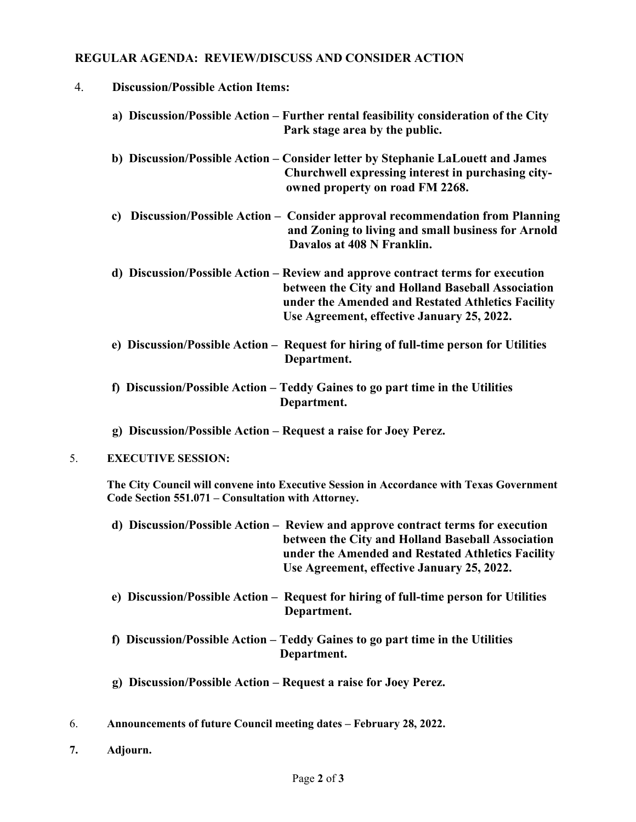# **REGULAR AGENDA: REVIEW/DISCUSS AND CONSIDER ACTION**

| 4. | <b>Discussion/Possible Action Items:</b>                                                                                                                                                                                                |
|----|-----------------------------------------------------------------------------------------------------------------------------------------------------------------------------------------------------------------------------------------|
|    | a) Discussion/Possible Action - Further rental feasibility consideration of the City<br>Park stage area by the public.                                                                                                                  |
|    | b) Discussion/Possible Action – Consider letter by Stephanie LaLouett and James<br>Churchwell expressing interest in purchasing city-<br>owned property on road FM 2268.                                                                |
|    | Discussion/Possible Action – Consider approval recommendation from Planning<br>c)<br>and Zoning to living and small business for Arnold<br>Davalos at 408 N Franklin.                                                                   |
|    | d) Discussion/Possible Action – Review and approve contract terms for execution<br>between the City and Holland Baseball Association<br>under the Amended and Restated Athletics Facility<br>Use Agreement, effective January 25, 2022. |
|    | e) Discussion/Possible Action – Request for hiring of full-time person for Utilities<br>Department.                                                                                                                                     |
|    | f) Discussion/Possible Action – Teddy Gaines to go part time in the Utilities<br>Department.                                                                                                                                            |
|    | g) Discussion/Possible Action - Request a raise for Joey Perez.                                                                                                                                                                         |
| 5. | <b>EXECUTIVE SESSION:</b>                                                                                                                                                                                                               |
|    | The City Council will convene into Executive Session in Accordance with Texas Government<br>Code Section 551.071 – Consultation with Attorney.                                                                                          |
|    | d) Discussion/Possible Action – Review and approve contract terms for execution<br>between the City and Holland Baseball Association<br>under the Amended and Restated Athletics Facility<br>Use Agreement, effective January 25, 2022. |
|    | e) Discussion/Possible Action – Request for hiring of full-time person for Utilities<br>Department.                                                                                                                                     |
|    | f) Discussion/Possible Action – Teddy Gaines to go part time in the Utilities<br>Department.                                                                                                                                            |
|    | g) Discussion/Possible Action – Request a raise for Joey Perez.                                                                                                                                                                         |
| 6. | Announcements of future Council meeting dates - February 28, 2022.                                                                                                                                                                      |

**7. Adjourn.**